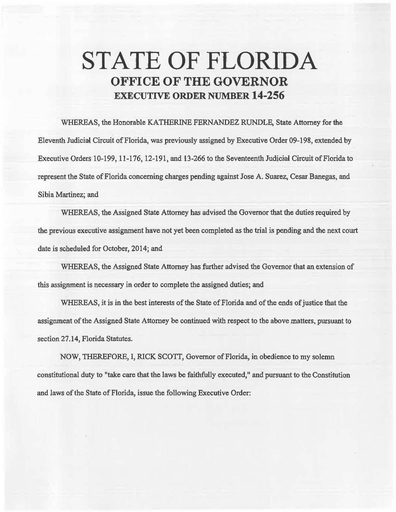## STATE OF FLORIDA **OFFICE OF THE GOVERNOR**  EXECUTIVE **ORDER** NUMBER **14-256**

WHEREAS, the Honorable KATHERINE FERNANDEZ RUNDLE, State Attorney for the Eleventh Judicial Circuit of Florida, was previously assigned by Executive Order 09-198, extended by Executive Orders 10-199, 11-176, 12-191, and 13-266 to the Seventeenth Judicial Circuit of Florida to represent the State of Florida concerning charges pending against Jose A. Suarez, Cesar Banegas, and Sibia Martinez; and

WHEREAS, the Assigned State Attorney has advised the Governor that the duties required by the previous executive assignment have not yet been completed as the trial is pending and the next court date is scheduled for October, 2014; and

WHEREAS, the Assigned State Attorney has further advised the Governor that an extension of this assignment is necessary in order to complete the assigned duties; and

WHEREAS, it is in the best interests of the State of Florida and of the ends of justice that the assignment of the Assigned State Attorney be continued with respect to the above matters, pursuant to section 27.14, Florida Statutes.

NOW, THEREFORE, I, RICK SCOTT, Governor of Florida, in obedience to my solemn constitutional duty to "take care that the laws be faithfully executed," and pursuant to the Constitution and laws of the State of Florida, issue the following Executive Order: